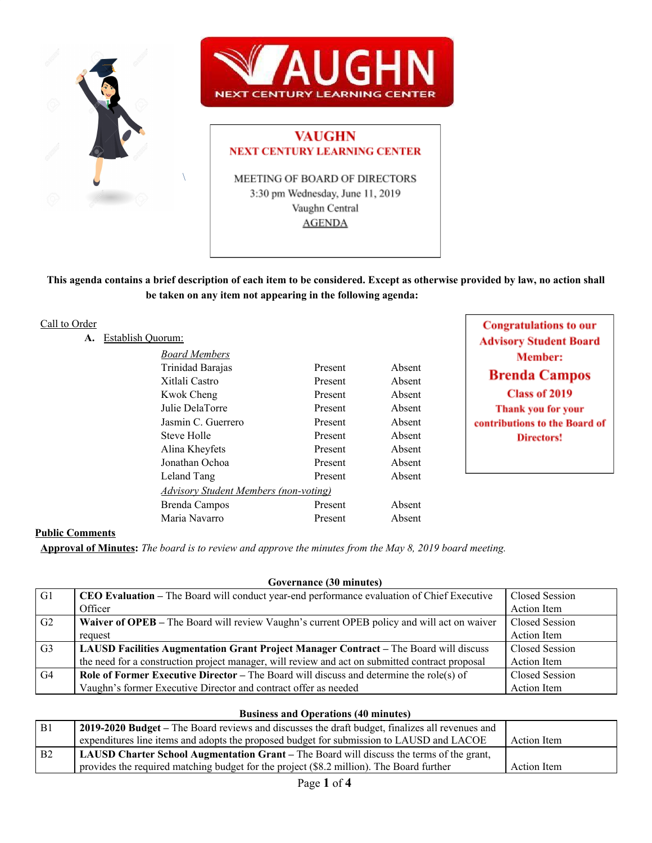



# **VAUGHN NEXT CENTURY LEARNING CENTER**

MEETING OF BOARD OF DIRECTORS 3:30 pm Wednesday, June 11, 2019 Vaughn Central **AGENDA** 

This agenda contains a brief description of each item to be considered. Except as otherwise provided by law, no action shall **be taken on any item not appearing in the following agenda:**

# Call to Order

A. Establish Quo

| orum:                                        |         |        |
|----------------------------------------------|---------|--------|
| <b>Board Members</b>                         |         |        |
| Trinidad Barajas                             | Present | Absent |
| Xitlali Castro                               | Present | Absent |
| Kwok Cheng                                   | Present | Absent |
| Julie DelaTorre                              | Present | Absent |
| Jasmin C. Guerrero                           | Present | Absent |
| Steve Holle                                  | Present | Absent |
| Alina Kheyfets                               | Present | Absent |
| Jonathan Ochoa                               | Present | Absent |
| Leland Tang                                  | Present | Absent |
| <b>Advisory Student Members (non-voting)</b> |         |        |
| Brenda Campos                                | Present | Absent |
| Maria Navarro                                | Present | Absent |
|                                              |         |        |

**Congratulations to our Advisory Student Board Member: Brenda Campos Class of 2019** Thank you for your contributions to the Board of **Directors!** 

# **Public Comments**

Approval of Minutes: The board is to review and approve the minutes from the May 8, 2019 board meeting.

| G1             | CEO Evaluation – The Board will conduct year-end performance evaluation of Chief Executive      | Closed Session |
|----------------|-------------------------------------------------------------------------------------------------|----------------|
|                | Officer                                                                                         | Action Item    |
| G <sub>2</sub> | Waiver of OPEB – The Board will review Vaughn's current OPEB policy and will act on waiver      | Closed Session |
|                | request                                                                                         | Action Item    |
| G <sub>3</sub> | LAUSD Facilities Augmentation Grant Project Manager Contract - The Board will discuss           | Closed Session |
|                | the need for a construction project manager, will review and act on submitted contract proposal | Action Item    |
| G4             | <b>Role of Former Executive Director</b> – The Board will discuss and determine the role(s) of  | Closed Session |
|                | Vaughn's former Executive Director and contract offer as needed                                 | Action Item    |

**Governance (30 minutes)**

#### **Business and Operations (40 minutes)**

| B <sub>1</sub> | 2019-2020 Budget – The Board reviews and discusses the draft budget, finalizes all revenues and |             |
|----------------|-------------------------------------------------------------------------------------------------|-------------|
|                | expenditures line items and adopts the proposed budget for submission to LAUSD and LACOE        | Action Item |
| B <sub>2</sub> | <b>LAUSD Charter School Augmentation Grant</b> – The Board will discuss the terms of the grant, |             |
|                | provides the required matching budget for the project (\$8.2 million). The Board further        | Action Item |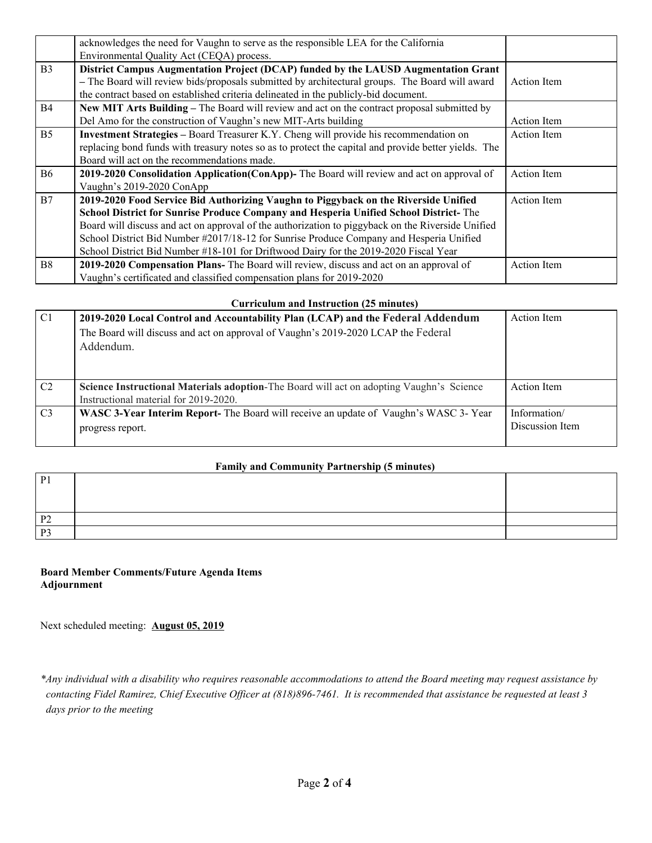|                | acknowledges the need for Vaughn to serve as the responsible LEA for the California                  |                    |
|----------------|------------------------------------------------------------------------------------------------------|--------------------|
|                | Environmental Quality Act (CEQA) process.                                                            |                    |
| B <sub>3</sub> | District Campus Augmentation Project (DCAP) funded by the LAUSD Augmentation Grant                   |                    |
|                | - The Board will review bids/proposals submitted by architectural groups. The Board will award       | Action Item        |
|                | the contract based on established criteria delineated in the publicly-bid document.                  |                    |
| <b>B4</b>      | New MIT Arts Building – The Board will review and act on the contract proposal submitted by          |                    |
|                | Del Amo for the construction of Vaughn's new MIT-Arts building                                       | <b>Action</b> Item |
| B <sub>5</sub> | <b>Investment Strategies - Board Treasurer K.Y. Cheng will provide his recommendation on</b>         | <b>Action</b> Item |
|                | replacing bond funds with treasury notes so as to protect the capital and provide better yields. The |                    |
|                | Board will act on the recommendations made.                                                          |                    |
| <b>B6</b>      | 2019-2020 Consolidation Application (ConApp)- The Board will review and act on approval of           | Action Item        |
|                | Vaughn's 2019-2020 ConApp                                                                            |                    |
| B7             | 2019-2020 Food Service Bid Authorizing Vaughn to Piggyback on the Riverside Unified                  | <b>Action</b> Item |
|                | School District for Sunrise Produce Company and Hesperia Unified School District-The                 |                    |
|                | Board will discuss and act on approval of the authorization to piggyback on the Riverside Unified    |                    |
|                | School District Bid Number #2017/18-12 for Sunrise Produce Company and Hesperia Unified              |                    |
|                | School District Bid Number #18-101 for Driftwood Dairy for the 2019-2020 Fiscal Year                 |                    |
| <b>B8</b>      | 2019-2020 Compensation Plans- The Board will review, discuss and act on an approval of               | Action Item        |
|                | Vaughn's certificated and classified compensation plans for 2019-2020                                |                    |

# **Curriculum and Instruction (25 minutes)**

| C <sub>1</sub> | 2019-2020 Local Control and Accountability Plan (LCAP) and the Federal Addendum<br>The Board will discuss and act on approval of Vaughn's 2019-2020 LCAP the Federal<br>Addendum. | Action Item                     |
|----------------|-----------------------------------------------------------------------------------------------------------------------------------------------------------------------------------|---------------------------------|
| C2             | Science Instructional Materials adoption-The Board will act on adopting Vaughn's Science<br>Instructional material for 2019-2020.                                                 | <b>Action</b> Item              |
| C <sub>3</sub> | WASC 3-Year Interim Report- The Board will receive an update of Vaughn's WASC 3-Year<br>progress report.                                                                          | Information/<br>Discussion Item |

# **Family and Community Partnership (5 minutes)**

| P <sub>1</sub> |  |
|----------------|--|
| P <sub>2</sub> |  |
| P <sub>3</sub> |  |

# **Board Member Comments/Future Agenda Items Adjournment**

Next scheduled meeting: **August 05, 2019**

\*Any individual with a disability who requires reasonable accommodations to attend the Board meeting may request assistance by contacting Fidel Ramirez, Chief Executive Officer at (818)896-7461. It is recommended that assistance be requested at least 3 *days prior to the meeting*